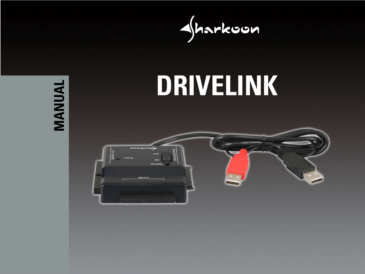

# **MANUAL MANUAL**



2535255074

NO

**BOL 9'Z**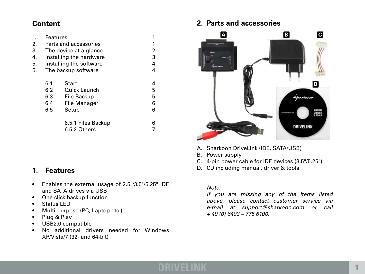# **Content**

| 1. | <b>Features</b>         |                     | 1 |
|----|-------------------------|---------------------|---|
| 2. | Parts and accessories   |                     |   |
| 3. | The device at a glance  |                     |   |
| 4. | Installing the hardware |                     |   |
| 5. | Installing the software |                     |   |
| 6. | The backup software     |                     | 4 |
|    | 6.1                     | Start               | 4 |
|    | 6.2                     | <b>Quick Launch</b> | 5 |
|    | 6.3                     | File Backup         | 5 |
|    | 6.4                     | <b>File Manager</b> | 6 |
|    | 6.5                     | Setup               | 6 |
|    |                         | 6.5.1 Files Backup  | 6 |
|    |                         | 6.5.2 Others        |   |

# **1. Features**

- Enables the external usage of 2.5"/3.5"/5.25" IDE and SATA drives via USB
- One click backup function
- Status LED
- Multi-purpose (PC, Laptop etc.)
- Plug & Play
- USB2.0 compatible
- No additional drivers needed for Windows XP/Vista/7 (32- and 64-bit)

# **2. Parts and accessories**



- A. Sharkoon DriveLink (IDE, SATA/USB)
- B. Power supply
- C. 4-pin power cable for IDE devices (3.5"/5.25")
- D. CD including manual, driver & tools

#### *Note:*

 *If you are missing any of the items listed above, please contact customer service via e-mail at support@sharkoon.com or call + 49 (0) 6403 – 775 6100.*

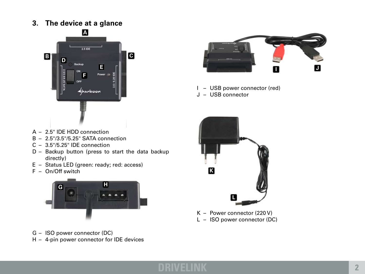**3. The device at a glance**





- I USB power connector (red)
- J USB connector

- $A 2.5$ " IDE HDD connection
- $B 2.5$ "/3.5"/5.25" SATA connection
- $C 3.5$ "/5.25" IDE connection
- $D$  Backup button (press to start the data backup directly)
- E Status LED (green: ready; red: access)
- $F On/Off$  switch





 $K -$  Power connector (220 V) L - ISO power connector (DC)

- G ISO power connector (DC)
- $H 4$ -pin power connector for IDE devices

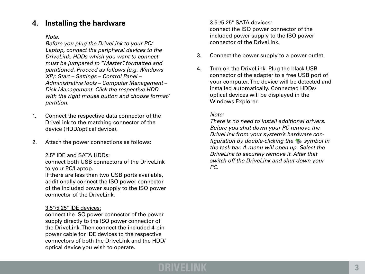# **4. Installing the hardware**

#### *Note:*

 *Before you plug the DriveLink to your PC/ Laptop, connect the peripheral devices to the DriveLink. HDDs which you want to connect must be jumpered to "Master", formatted and partitioned. Proceed as follows (e.g. Windows XP): Start – Settings – Control Panel – Administrative Tools – Computer Management – Disk Management. Click the respective HDD with the right mouse button and choose format/ partition.*

- 1. Connect the respective data connector of the DriveLink to the matching connector of the device (HDD/optical device).
- 2. Attach the power connections as follows:

#### 2.5" IDE and SATA HDDs:

 connect both USB connectors of the DriveLink to your PC/Laptop.

 If there are less than two USB ports available, additionally connect the ISO power connector of the included power supply to the ISO power connector of the DriveLink.

#### 3.5"/5.25" IDE devices:

 connect the ISO power connector of the power supply directly to the ISO power connector of the DriveLink.Then connect the included 4-pin power cable for IDE devices to the respective connectors of both the DriveLink and the HDD/ optical device you wish to operate.

#### 3.5"/5.25" SATA devices:

 connect the ISO power connector of the included power supply to the ISO power connector of the DriveLink.

- 3. Connect the power supply to a power outlet.
- 4. Turn on the DriveLink. Plug the black USB connector of the adapter to a free USB port of your computer.The device will be detected and installed automatically. Connected HDDs/ optical devices will be displayed in the Windows Explorer.

## *Note:*

 *There is no need to install additional drivers. Before you shut down your PC remove the DriveLink from your system's hardware con figuration by double-clicking the symbol in the task bar. A menu will open up. Select the DriveLink to securely remove it. After that switch off the DriveLink and shut down your PC.* 

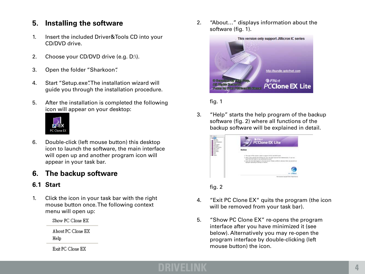# **5. Installing the software**

- 1. Insert the included Driver&Tools CD into your CD/DVD drive.
- 2. Choose your CD/DVD drive (e.g. D:\).
- 3. Open the folder "Sharkoon".
- 4. Start "Setup.exe". The installation wizard will guide you through the installation procedure.
- 5. After the installation is completed the following icon will appear on your desktop:



6. Double-click (left mouse button) this desktop icon to launch the software, the main interface will open up and another program icon will appear in your task bar.

# **6. The backup software**

# **6.1 Start**

1. Click the icon in your task bar with the right mouse button once.The following context menu will open up:

Show PC Clone EX

About PC Clone EX Help

Exit PC Clone EX

2. "About..." displays information about the software (fig. 1).



 fig. 1

3. "Help" starts the help program of the backup software (fig. 2) where all functions of the backup software will be explained in detail.

| <b>PCClone EX Lite</b>                     |
|--------------------------------------------|
| Notice<br>With Hugo American               |
|                                            |
| <b>Part Lincoln Hotel Location Contact</b> |

 fig. 2

- 4. "Exit PC Clone EX" quits the program (the icon will be removed from your task bar).
- 5. "Show PC Clone EX" re-opens the program interface after you have minimized it (see below). Alternatively you may re-open the program interface by double-clicking (left mouse button) the icon.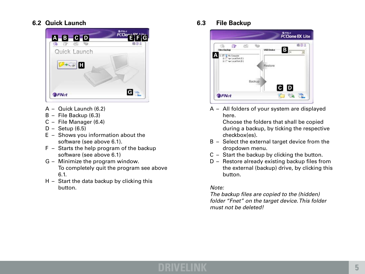# **6.2 Quick Launch**



- $A -$  Quick Launch (6.2)
- $B -$  File Backup (6.3)
- $C -$  File Manager (6.4)
- $D -$  Setup (6.5)
- $E -$  Shows you information about the software (see above 6.1).
- $F -$  Starts the help program of the backup software (see above 6.1)
- $G -$  Minimize the program window. To completely quit the program see above 6.1.
- $H -$  Start the data backup by clicking this button.

**6.3 File Backup**



 $A - All$  folders of your system are displayed here.

> Choose the folders that shall be copied during a backup, by ticking the respective checkbox(es).

- $B -$  Select the external target device from the dropdown menu.
- $C -$  Start the backup by clicking the button.
- $D -$  Restore already existing backup files from the external (backup) drive, by clicking this button.

# *Note:*

 *The backup files are copied to the (hidden) folder "Fnet" on the target device. This folder must not be deleted!*

# **DRIVELINK 5**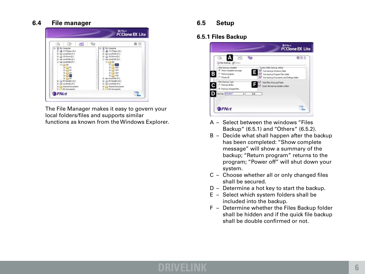# **6.4 File manager**



 The File Manager makes it easy to govern your local folders/files and supports similar functions as known from the Windows Explorer.

#### **6.5 Setup**

#### **6.5.1 Files Backup**



- A Select between the windows "Files Backup" (6.5.1) and "Others" (6.5.2).
- $B -$  Decide what shall happen after the backup has been completed: "Show complete message" will show a summary of the backup; "Return program" returns to the program; "Power off" will shut down your system.
- $C -$  Choose whether all or only changed files shall be secured.
- $D -$  Determine a hot key to start the backup.
- $E -$  Select which system folders shall be included into the backup.
- $F -$  Determine whether the Files Backup folder shall be hidden and if the quick file backup shall be double confirmed or not.

# **DRIVELINK 6**